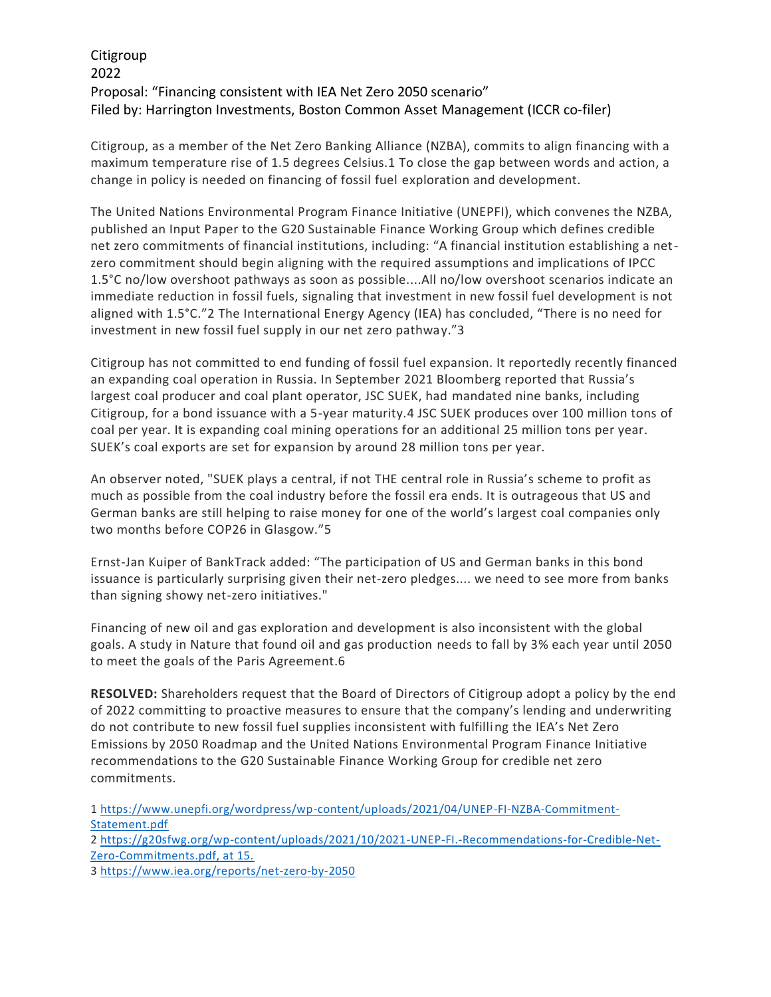## Citigroup 2022 Proposal: "Financing consistent with IEA Net Zero 2050 scenario" Filed by: Harrington Investments, Boston Common Asset Management (ICCR co-filer)

Citigroup, as a member of the Net Zero Banking Alliance (NZBA), commits to align financing with a maximum temperature rise of 1.5 degrees Celsius.1 To close the gap between words and action, a change in policy is needed on financing of fossil fuel exploration and development.

The United Nations Environmental Program Finance Initiative (UNEPFI), which convenes the NZBA, published an Input Paper to the G20 Sustainable Finance Working Group which defines credible net zero commitments of financial institutions, including: "A financial institution establishing a netzero commitment should begin aligning with the required assumptions and implications of IPCC 1.5°C no/low overshoot pathways as soon as possible....All no/low overshoot scenarios indicate an immediate reduction in fossil fuels, signaling that investment in new fossil fuel development is not aligned with 1.5°C."2 The International Energy Agency (IEA) has concluded, "There is no need for investment in new fossil fuel supply in our net zero pathway."3

Citigroup has not committed to end funding of fossil fuel expansion. It reportedly recently financed an expanding coal operation in Russia. In September 2021 Bloomberg reported that Russia's largest coal producer and coal plant operator, JSC SUEK, had mandated nine banks, including Citigroup, for a bond issuance with a 5-year maturity.4 JSC SUEK produces over 100 million tons of coal per year. It is expanding coal mining operations for an additional 25 million tons per year. SUEK's coal exports are set for expansion by around 28 million tons per year.

An observer noted, "SUEK plays a central, if not THE central role in Russia's scheme to profit as much as possible from the coal industry before the fossil era ends. It is outrageous that US and German banks are still helping to raise money for one of the world's largest coal companies only two months before COP26 in Glasgow."5

Ernst-Jan Kuiper of BankTrack added: "The participation of US and German banks in this bond issuance is particularly surprising given their net-zero pledges.... we need to see more from banks than signing showy net-zero initiatives."

Financing of new oil and gas exploration and development is also inconsistent with the global goals. A study in Nature that found oil and gas production needs to fall by 3% each year until 2050 to meet the goals of the Paris Agreement.6

**RESOLVED:** Shareholders request that the Board of Directors of Citigroup adopt a policy by the end of 2022 committing to proactive measures to ensure that the company's lending and underwriting do not contribute to new fossil fuel supplies inconsistent with fulfilling the IEA's Net Zero Emissions by 2050 Roadmap and the United Nations Environmental Program Finance Initiative recommendations to the G20 Sustainable Finance Working Group for credible net zero commitments.

1 [https://www.unepfi.org/wordpress/wp-content/uploads/2021/04/UNEP-FI-NZBA-Commitment-](https://www.unepfi.org/wordpress/wp-content/uploads/2021/04/UNEP-FI-NZBA-Commitment-Statement.pdf)[Statement.pdf](https://www.unepfi.org/wordpress/wp-content/uploads/2021/04/UNEP-FI-NZBA-Commitment-Statement.pdf) 2 [https://g20sfwg.org/wp-content/uploads/2021/10/2021-UNEP-FI.-Recommendations-for-Credible-Net-](https://g20sfwg.org/wp-content/uploads/2021/10/2021-UNEP-FI.-Recommendations-for-Credible-Net-Zero-Commitments.pdf,%20at%2015.)[Zero-Commitments.pdf, at 15.](https://g20sfwg.org/wp-content/uploads/2021/10/2021-UNEP-FI.-Recommendations-for-Credible-Net-Zero-Commitments.pdf,%20at%2015.)

3<https://www.iea.org/reports/net-zero-by-2050>